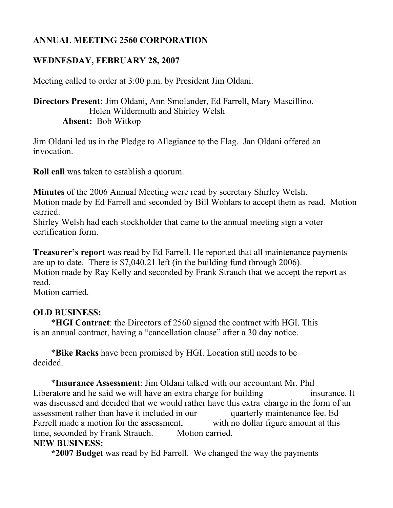# **ANNUAL MEETING 2560 CORPORATION**

## **WEDNESDAY, FEBRUARY 28, 2007**

Meeting called to order at 3:00 p.m. by President Jim Oldani.

## **Directors Present:** Jim Oldani, Ann Smolander, Ed Farrell, Mary Mascillino, Helen Wildermuth and Shirley Welsh **Absent:** Bob Witkop

Jim Oldani led us in the Pledge to Allegiance to the Flag. Jan Oldani offered an invocation.

**Roll call** was taken to establish a quorum.

**Minutes** of the 2006 Annual Meeting were read by secretary Shirley Welsh.

Motion made by Ed Farrell and seconded by Bill Wohlars to accept them as read. Motion carried.

Shirley Welsh had each stockholder that came to the annual meeting sign a voter certification form.

**Treasurer's report** was read by Ed Farrell. He reported that all maintenance payments are up to date. There is \$7,040.21 left (in the building fund through 2006). Motion made by Ray Kelly and seconded by Frank Strauch that we accept the report as read.

Motion carried.

### **OLD BUSINESS:**

\***HGI Contract**: the Directors of 2560 signed the contract with HGI. This is an annual contract, having a "cancellation clause" after a 30 day notice.

 \***Bike Racks** have been promised by HGI. Location still needs to be decided.

\***Insurance Assessment**: Jim Oldani talked with our accountant Mr. Phil Liberatore and he said we will have an extra charge for building insurance. It was discussed and decided that we would rather have this extra charge in the form of an assessment rather than have it included in our quarterly maintenance fee. Ed Farrell made a motion for the assessment, with no dollar figure amount at this time, seconded by Frank Strauch. Motion carried. **NEW BUSINESS:**

## **\*2007 Budget** was read by Ed Farrell. We changed the way the payments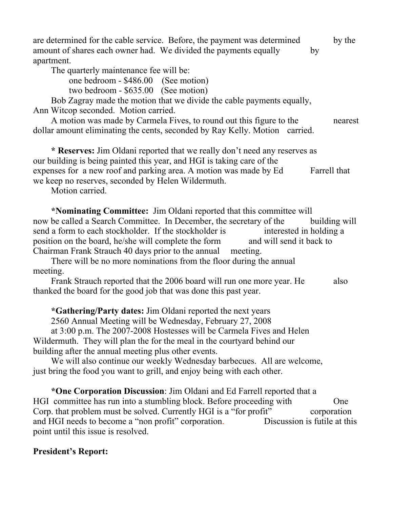are determined for the cable service. Before, the payment was determined by the amount of shares each owner had. We divided the payments equally by apartment.

The quarterly maintenance fee will be:

one bedroom - \$486.00 (See motion)

two bedroom - \$635.00 (See motion)

Bob Zagray made the motion that we divide the cable payments equally, Ann Witcop seconded. Motion carried.

A motion was made by Carmela Fives, to round out this figure to the nearest dollar amount eliminating the cents, seconded by Ray Kelly. Motion carried.

**\* Reserves:** Jim Oldani reported that we really don't need any reserves as our building is being painted this year, and HGI is taking care of the expenses for a new roof and parking area. A motion was made by Ed Farrell that we keep no reserves, seconded by Helen Wildermuth.

Motion carried.

**\*Nominating Committee:** Jim Oldani reported that this committee will now be called a Search Committee. In December, the secretary of the building will send a form to each stockholder. If the stockholder is interested in holding a position on the board, he/she will complete the form and will send it back to Chairman Frank Strauch 40 days prior to the annual meeting.

There will be no more nominations from the floor during the annual meeting.

Frank Strauch reported that the 2006 board will run one more year. He also thanked the board for the good job that was done this past year.

**\*Gathering/Party dates:** Jim Oldani reported the next years

2560 Annual Meeting will be Wednesday, February 27, 2008

at 3:00 p.m. The 2007-2008 Hostesses will be Carmela Fives and Helen Wildermuth. They will plan the for the meal in the courtyard behind our building after the annual meeting plus other events.

We will also continue our weekly Wednesday barbecues. All are welcome, just bring the food you want to grill, and enjoy being with each other.

**\*One Corporation Discussion**: Jim Oldani and Ed Farrell reported that a HGI committee has run into a stumbling block. Before proceeding with One Corp. that problem must be solved. Currently HGI is a "for profit" corporation and HGI needs to become a "non profit" corporation. Discussion is futile at this point until this issue is resolved.

## **President's Report:**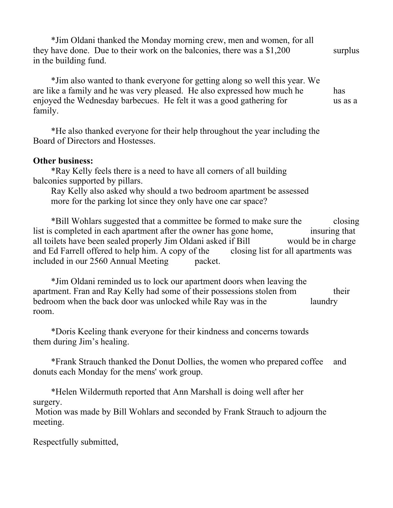\*Jim Oldani thanked the Monday morning crew, men and women, for all they have done. Due to their work on the balconies, there was a  $$1,200$  surplus in the building fund.

\*Jim also wanted to thank everyone for getting along so well this year. We are like a family and he was very pleased. He also expressed how much he has enjoyed the Wednesday barbecues. He felt it was a good gathering for us as a family.

\*He also thanked everyone for their help throughout the year including the Board of Directors and Hostesses.

#### **Other business:**

\*Ray Kelly feels there is a need to have all corners of all building balconies supported by pillars.

Ray Kelly also asked why should a two bedroom apartment be assessed more for the parking lot since they only have one car space?

\*Bill Wohlars suggested that a committee be formed to make sure the closing list is completed in each apartment after the owner has gone home, insuring that all toilets have been sealed properly Jim Oldani asked if Bill would be in charge and Ed Farrell offered to help him. A copy of the closing list for all apartments was included in our 2560 Annual Meeting packet.

\*Jim Oldani reminded us to lock our apartment doors when leaving the apartment. Fran and Ray Kelly had some of their possessions stolen from their bedroom when the back door was unlocked while Ray was in the laundry room.

\*Doris Keeling thank everyone for their kindness and concerns towards them during Jim's healing.

\*Frank Strauch thanked the Donut Dollies, the women who prepared coffee and donuts each Monday for the mens' work group.

\*Helen Wildermuth reported that Ann Marshall is doing well after her surgery. Motion was made by Bill Wohlars and seconded by Frank Strauch to adjourn the

Respectfully submitted,

meeting.